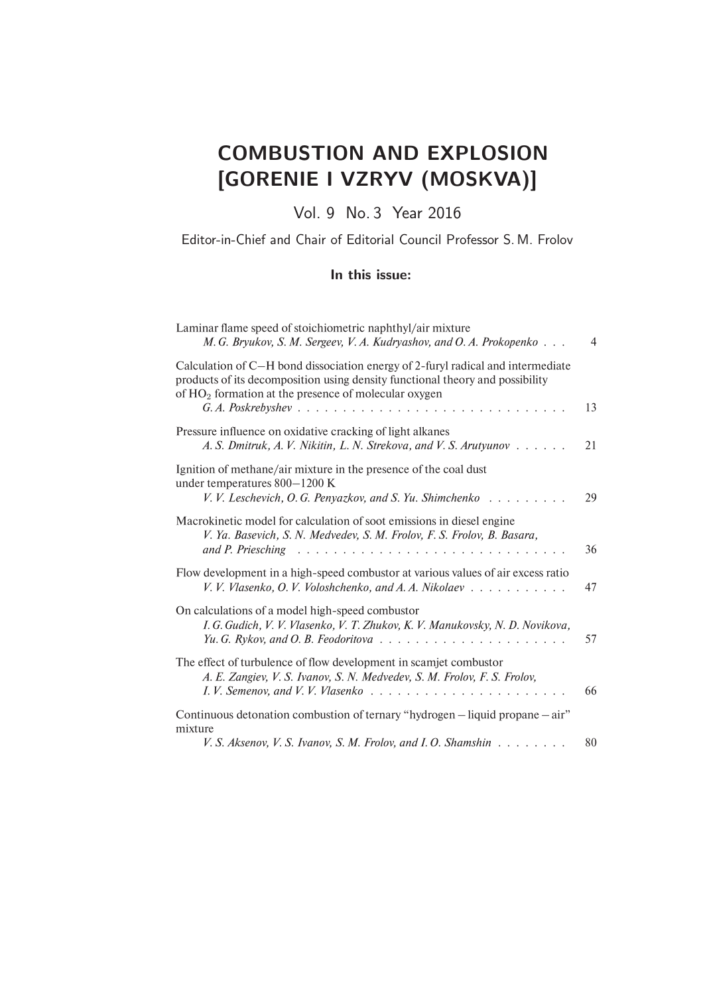# COMBUSTION AND EXPLOSION [GORENIE I VZRYV (MOSKVA)]

Vol. 9 No. 3 Year 2016

Editor-in-Chief and Chair of Editorial Council Professor S. M. Frolov

#### In this issue:

| Laminar flame speed of stoichiometric naphthyl/air mixture<br>M. G. Bryukov, S. M. Sergeev, V. A. Kudryashov, and O. A. Prokopenko                                                                                                                                                                                                     | $\overline{4}$ |
|----------------------------------------------------------------------------------------------------------------------------------------------------------------------------------------------------------------------------------------------------------------------------------------------------------------------------------------|----------------|
| Calculation of C-H bond dissociation energy of 2-furyl radical and intermediate<br>products of its decomposition using density functional theory and possibility<br>of $HO2$ formation at the presence of molecular oxygen<br>$G. A. Poskrebyshev \dots \dots \dots \dots \dots \dots \dots \dots \dots \dots \dots \dots \dots \dots$ | 13             |
| Pressure influence on oxidative cracking of light alkanes<br>A. S. Dmitruk, A. V. Nikitin, L. N. Strekova, and V. S. Arutyunov                                                                                                                                                                                                         | 21             |
| Ignition of methane/air mixture in the presence of the coal dust<br>under temperatures 800-1200 K<br>V. V. Leschevich, O. G. Penyazkov, and S. Yu. Shimchenko                                                                                                                                                                          | 29             |
| Macrokinetic model for calculation of soot emissions in diesel engine<br>V. Ya. Basevich, S. N. Medvedev, S. M. Frolov, F. S. Frolov, B. Basara,<br>and P. Priesching                                                                                                                                                                  | 36             |
| Flow development in a high-speed combustor at various values of air excess ratio<br>V. V. Vlasenko, O. V. Voloshchenko, and A. A. Nikolaev                                                                                                                                                                                             | 47             |
| On calculations of a model high-speed combustor<br>I. G. Gudich, V. V. Vlasenko, V. T. Zhukov, K. V. Manukovsky, N. D. Novikova,                                                                                                                                                                                                       | 57             |
| The effect of turbulence of flow development in scamjet combustor<br>A. E. Zangiev, V. S. Ivanov, S. N. Medvedev, S. M. Frolov, F. S. Frolov,<br>I. V. Semenov, and V. V. Vlasenko                                                                                                                                                     | 66             |
| Continuous detonation combustion of ternary "hydrogen – liquid propane – air"<br>mixture                                                                                                                                                                                                                                               |                |
| V. S. Aksenov, V. S. Ivanov, S. M. Frolov, and I. O. Shamshin                                                                                                                                                                                                                                                                          | 80             |